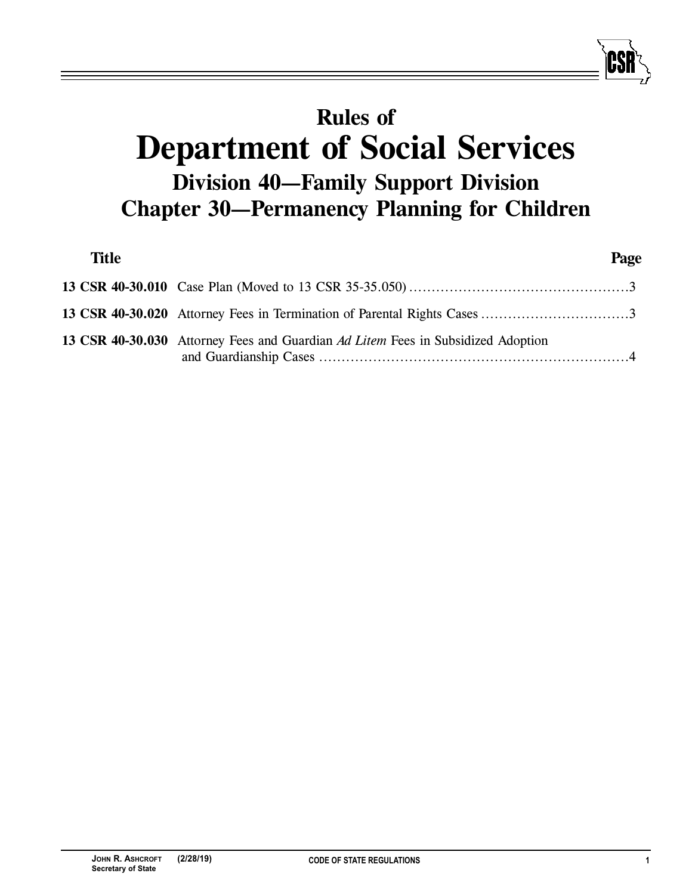## **Rules of Department of Social Services Division 40—Family Support Division Chapter 30—Permanency Planning for Children**

| <b>Title</b> |                                                                                  | Page |
|--------------|----------------------------------------------------------------------------------|------|
|              |                                                                                  |      |
|              |                                                                                  |      |
|              | 13 CSR 40-30.030 Attorney Fees and Guardian Ad Litem Fees in Subsidized Adoption |      |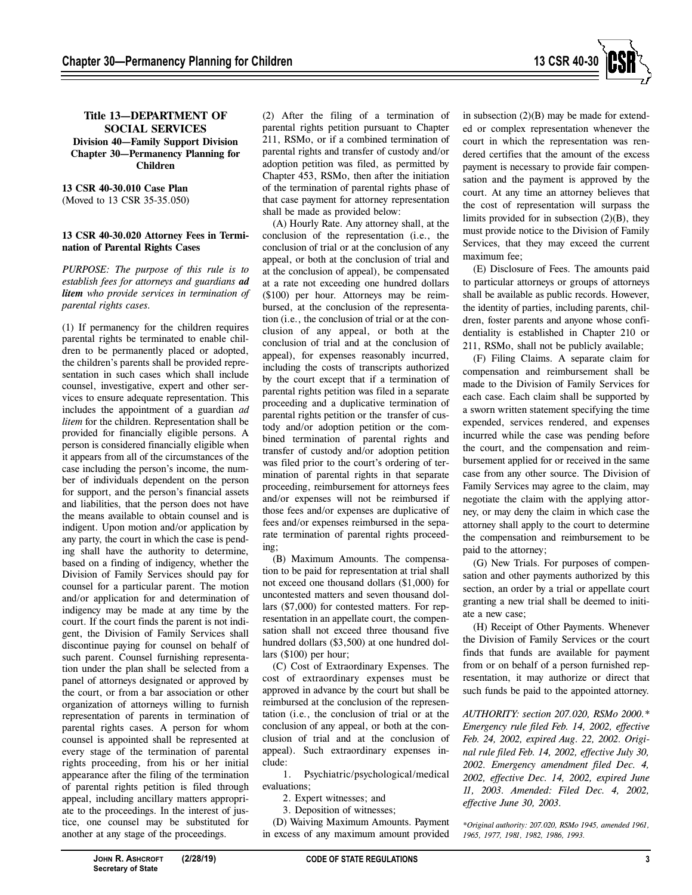

## **Title 13—DEPARTMENT OF SOCIAL SERVICES Division 40—Family Support Division Chapter 30—Permanency Planning for Children**

**13 CSR 40-30.010 Case Plan** (Moved to 13 CSR 35-35.050)

## **13 CSR 40-30.020 Attorney Fees in Termination of Parental Rights Cases**

*PURPOSE: The purpose of this rule is to establish fees for attorneys and guardians ad litem who provide services in termination of parental rights cases.*

(1) If permanency for the children requires parental rights be terminated to enable children to be permanently placed or adopted, the children's parents shall be provided representation in such cases which shall include counsel, investigative, expert and other services to ensure adequate representation. This includes the appointment of a guardian *ad litem* for the children. Representation shall be provided for financially eligible persons. A person is considered financially eligible when it appears from all of the circumstances of the case including the person's income, the number of individuals dependent on the person for support, and the person's financial assets and liabilities, that the person does not have the means available to obtain counsel and is indigent. Upon motion and/or application by any party, the court in which the case is pending shall have the authority to determine, based on a finding of indigency, whether the Division of Family Services should pay for counsel for a particular parent. The motion and/or application for and determination of indigency may be made at any time by the court. If the court finds the parent is not indigent, the Division of Family Services shall discontinue paying for counsel on behalf of such parent. Counsel furnishing representation under the plan shall be selected from a panel of attorneys designated or approved by the court, or from a bar association or other organization of attorneys willing to furnish representation of parents in termination of parental rights cases. A person for whom counsel is appointed shall be represented at every stage of the termination of parental rights proceeding, from his or her initial appearance after the filing of the termination of parental rights petition is filed through appeal, including ancillary matters appropriate to the proceedings. In the interest of justice, one counsel may be substituted for another at any stage of the proceedings.

(2) After the filing of a termination of parental rights petition pursuant to Chapter 211, RSMo, or if a combined termination of parental rights and transfer of custody and/or adoption petition was filed, as permitted by Chapter 453, RSMo, then after the initiation of the termination of parental rights phase of that case payment for attorney representation shall be made as provided below:

(A) Hourly Rate. Any attorney shall, at the conclusion of the representation (i.e., the conclusion of trial or at the conclusion of any appeal, or both at the conclusion of trial and at the conclusion of appeal), be compensated at a rate not exceeding one hundred dollars (\$100) per hour. Attorneys may be reimbursed, at the conclusion of the representation (i.e., the conclusion of trial or at the conclusion of any appeal, or both at the conclusion of trial and at the conclusion of appeal), for expenses reasonably incurred, including the costs of transcripts authorized by the court except that if a termination of parental rights petition was filed in a separate proceeding and a duplicative termination of parental rights petition or the transfer of custody and/or adoption petition or the combined termination of parental rights and transfer of custody and/or adoption petition was filed prior to the court's ordering of termination of parental rights in that separate proceeding, reimbursement for attorneys fees and/or expenses will not be reimbursed if those fees and/or expenses are duplicative of fees and/or expenses reimbursed in the separate termination of parental rights proceeding;

(B) Maximum Amounts. The compensation to be paid for representation at trial shall not exceed one thousand dollars (\$1,000) for uncontested matters and seven thousand dollars (\$7,000) for contested matters. For representation in an appellate court, the compensation shall not exceed three thousand five hundred dollars (\$3,500) at one hundred dollars (\$100) per hour;

(C) Cost of Extraordinary Expenses. The cost of extraordinary expenses must be approved in advance by the court but shall be reimbursed at the conclusion of the representation (i.e., the conclusion of trial or at the conclusion of any appeal, or both at the conclusion of trial and at the conclusion of appeal). Such extraordinary expenses include:

1. Psychiatric/psychological/medical evaluations;

2. Expert witnesses; and

3. Deposition of witnesses;

(D) Waiving Maximum Amounts. Payment in excess of any maximum amount provided

in subsection (2)(B) may be made for extended or complex representation whenever the court in which the representation was rendered certifies that the amount of the excess payment is necessary to provide fair compensation and the payment is approved by the court. At any time an attorney believes that the cost of representation will surpass the limits provided for in subsection (2)(B), they must provide notice to the Division of Family Services, that they may exceed the current maximum fee;

(E) Disclosure of Fees. The amounts paid to particular attorneys or groups of attorneys shall be available as public records. However, the identity of parties, including parents, children, foster parents and anyone whose confidentiality is established in Chapter 210 or 211, RSMo, shall not be publicly available;

(F) Filing Claims. A separate claim for compensation and reimbursement shall be made to the Division of Family Services for each case. Each claim shall be supported by a sworn written statement specifying the time expended, services rendered, and expenses incurred while the case was pending before the court, and the compensation and reimbursement applied for or received in the same case from any other source. The Division of Family Services may agree to the claim, may negotiate the claim with the applying attorney, or may deny the claim in which case the attorney shall apply to the court to determine the compensation and reimbursement to be paid to the attorney;

(G) New Trials. For purposes of compensation and other payments authorized by this section, an order by a trial or appellate court granting a new trial shall be deemed to initiate a new case;

(H) Receipt of Other Payments. Whenever the Division of Family Services or the court finds that funds are available for payment from or on behalf of a person furnished representation, it may authorize or direct that such funds be paid to the appointed attorney.

*AUTHORITY: section 207.020, RSMo 2000.\* Emergency rule filed Feb. 14, 2002, effective Feb. 24, 2002, expired Aug. 22, 2002. Original rule filed Feb. 14, 2002, effective July 30, 2002. Emergency amendment filed Dec. 4, 2002, effective Dec. 14, 2002, expired June 11, 2003. Amended: Filed Dec. 4, 2002, effective June 30, 2003.*

*\*Original authority: 207.020, RSMo 1945, amended 1961, 1965, 1977, 1981, 1982, 1986, 1993.*